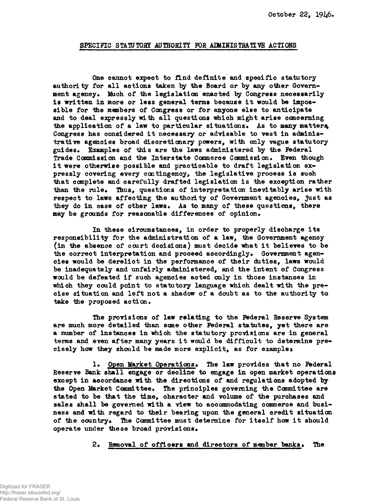## SPECIFIC STATUTORY AUTHORITY FOR ADMINISTRATIVE ACTIONS

**One cannot expect to find definite and specific statutory authority for all actions taken by the Board or by any other Govern**ment agency. Much of the legislation enacted by Congress necessarily **is written in more or less general terras because it would be impossible for the members of Congress or for anyone else to anticipate and to deal expressly with all questions which might arise concerning** the application of a law to particular situations. As to many matters, **Congress has considered it necessary or advisable to vest in administrative agencies broad discretionary powers, with only vague statutory guides\* Examples of this are the laws administered by the Federal Trade Commission and the Interstate Commerce Commission\* Even though it were otherwise possible and practicable to draft legislation expressly covering every contingency, the legislative process is such that complete and carefully drafted legislation is the exception rather than the rule\* Thus, questions of interpretation inevitably arise with respect to laws affecting the authority of Government agencies, just as** they do in case of other laws. As to many of these questions, there may be grounds for reasonable differences of opinion.

**In these circumstances, in order to properly discharge its responsibility for the administration of a law, the Government agency (in the absence of court decisions) must decide what it believes to be** the correct interpretation and proceed accordingly. Government agen**cies would be derelict in the performance of their duties, laws would be inadequately and unfairly administered, and the intent of Congress would be defeated if such agencies acted only in those instances in which they could point to statutory language which dealt with the precise situation and left not a shadow of a doubt as to the authority to** take the proposed action.

**The provisions of law relating to the Federal Reserve System** are much more detailed than some other Federal statutes, yet there are **a number of instances in which the statutory provisions are in general terms and even after many years it would be difficult to determine precisely how they should be made more explicit, as for examplet**

1. Open Market Operations. The law provides that no Federal **Reserve Bank shall engage or decline to engage in open market operations except in accordance with the directions of and regulations adopted by** the Open Market Committee. The principles governing the Committee are **stated to be that the time, character and volume of the purchases and sales shall be governed with a view to accommodating commerce and business and with regard to their bearing upon the general credit situation** of the country. The Committee must determine for itself how it should **operate under these broad provisions\***

2. Removal of officers and directors of member banks. The